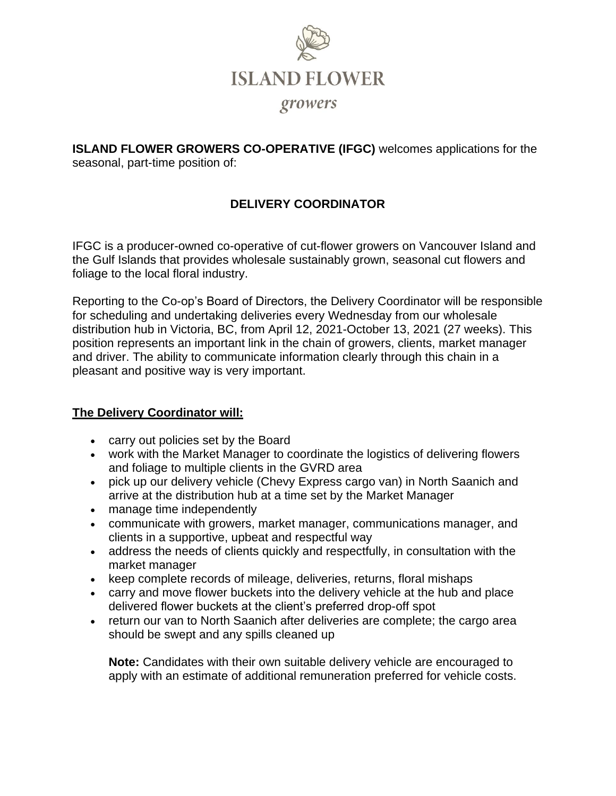

**ISLAND FLOWER GROWERS CO-OPERATIVE (IFGC)** welcomes applications for the seasonal, part-time position of:

# **DELIVERY COORDINATOR**

IFGC is a producer-owned co-operative of cut-flower growers on Vancouver Island and the Gulf Islands that provides wholesale sustainably grown, seasonal cut flowers and foliage to the local floral industry.

Reporting to the Co-op's Board of Directors, the Delivery Coordinator will be responsible for scheduling and undertaking deliveries every Wednesday from our wholesale distribution hub in Victoria, BC, from April 12, 2021-October 13, 2021 (27 weeks). This position represents an important link in the chain of growers, clients, market manager and driver. The ability to communicate information clearly through this chain in a pleasant and positive way is very important.

### **The Delivery Coordinator will:**

- carry out policies set by the Board
- work with the Market Manager to coordinate the logistics of delivering flowers and foliage to multiple clients in the GVRD area
- pick up our delivery vehicle (Chevy Express cargo van) in North Saanich and arrive at the distribution hub at a time set by the Market Manager
- manage time independently
- communicate with growers, market manager, communications manager, and clients in a supportive, upbeat and respectful way
- address the needs of clients quickly and respectfully, in consultation with the market manager
- keep complete records of mileage, deliveries, returns, floral mishaps
- carry and move flower buckets into the delivery vehicle at the hub and place delivered flower buckets at the client's preferred drop-off spot
- return our van to North Saanich after deliveries are complete; the cargo area should be swept and any spills cleaned up

**Note:** Candidates with their own suitable delivery vehicle are encouraged to apply with an estimate of additional remuneration preferred for vehicle costs.